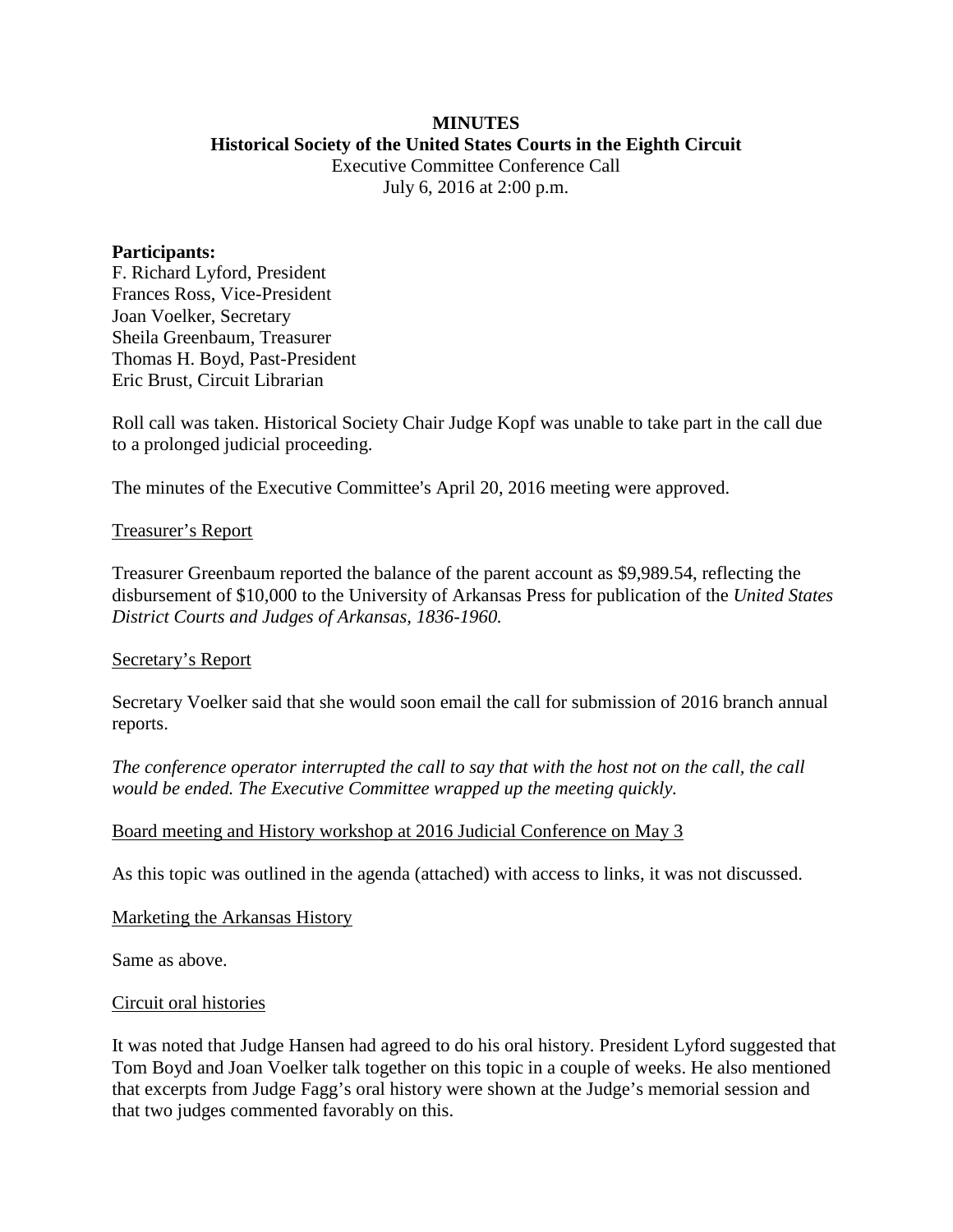### **MINUTES Historical Society of the United States Courts in the Eighth Circuit**

Executive Committee Conference Call July 6, 2016 at 2:00 p.m.

### **Participants:**

F. Richard Lyford, President Frances Ross, Vice-President Joan Voelker, Secretary Sheila Greenbaum, Treasurer Thomas H. Boyd, Past-President Eric Brust, Circuit Librarian

Roll call was taken. Historical Society Chair Judge Kopf was unable to take part in the call due to a prolonged judicial proceeding.

The minutes of the Executive Committee's April 20, 2016 meeting were approved.

# Treasurer's Report

Treasurer Greenbaum reported the balance of the parent account as \$9,989.54, reflecting the disbursement of \$10,000 to the University of Arkansas Press for publication of the *United States District Courts and Judges of Arkansas, 1836-1960.*

# Secretary's Report

Secretary Voelker said that she would soon email the call for submission of 2016 branch annual reports.

*The conference operator interrupted the call to say that with the host not on the call, the call would be ended. The Executive Committee wrapped up the meeting quickly.*

# Board meeting and History workshop at 2016 Judicial Conference on May 3

As this topic was outlined in the agenda (attached) with access to links, it was not discussed.

#### Marketing the Arkansas History

Same as above.

#### Circuit oral histories

It was noted that Judge Hansen had agreed to do his oral history. President Lyford suggested that Tom Boyd and Joan Voelker talk together on this topic in a couple of weeks. He also mentioned that excerpts from Judge Fagg's oral history were shown at the Judge's memorial session and that two judges commented favorably on this.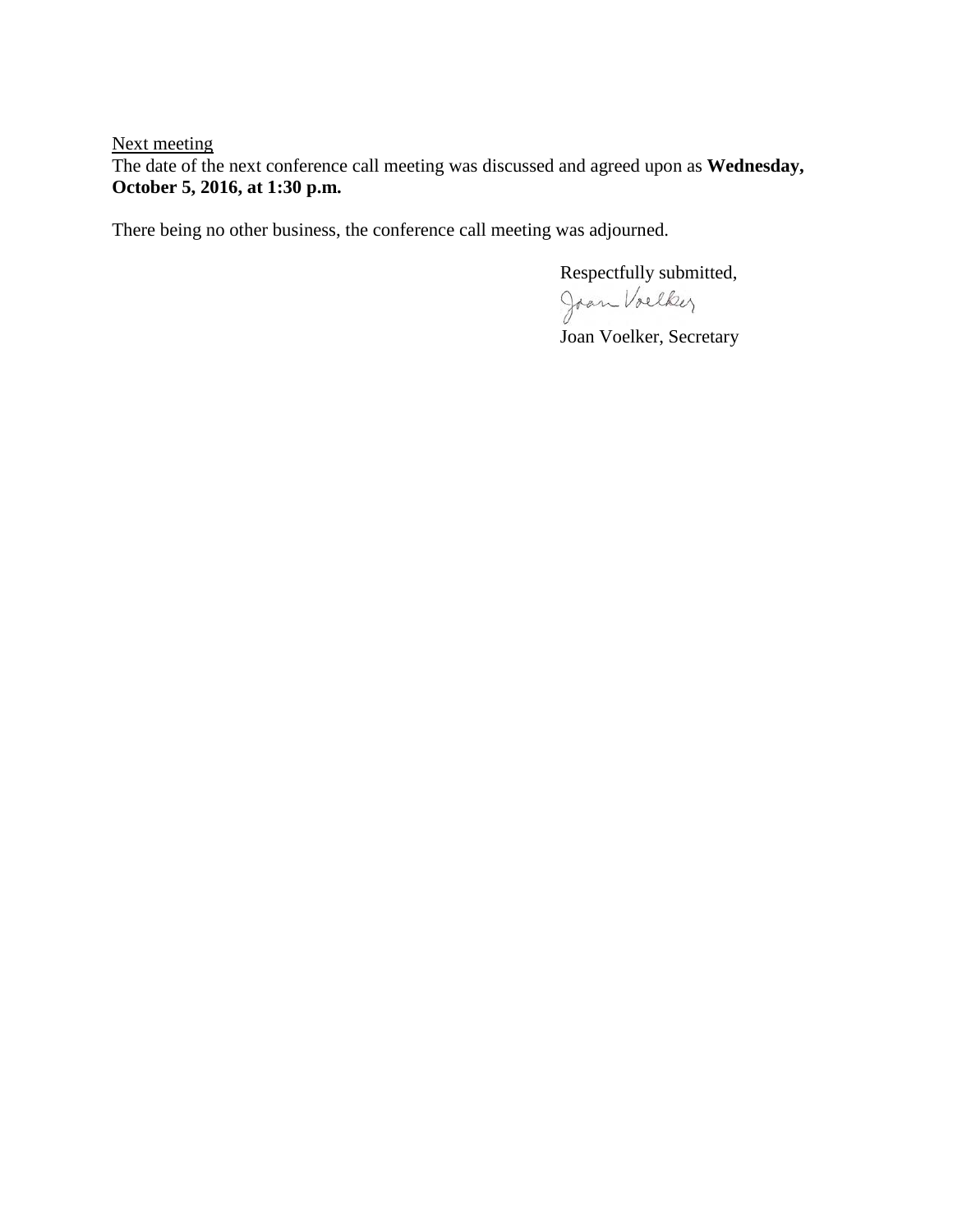Next meeting

The date of the next conference call meeting was discussed and agreed upon as **Wednesday, October 5, 2016, at 1:30 p.m.** 

There being no other business, the conference call meeting was adjourned.

Respectfully submitted,

Joan Voelker

Joan Voelker, Secretary